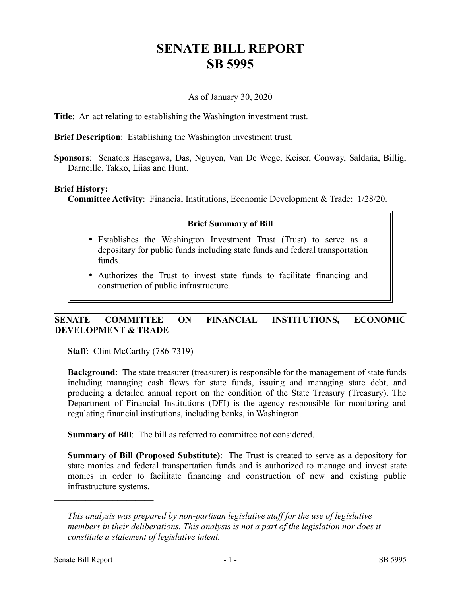# **SENATE BILL REPORT SB 5995**

# As of January 30, 2020

**Title**: An act relating to establishing the Washington investment trust.

**Brief Description**: Establishing the Washington investment trust.

**Sponsors**: Senators Hasegawa, Das, Nguyen, Van De Wege, Keiser, Conway, Saldaña, Billig, Darneille, Takko, Liias and Hunt.

### **Brief History:**

**Committee Activity**: Financial Institutions, Economic Development & Trade: 1/28/20.

### **Brief Summary of Bill**

- Establishes the Washington Investment Trust (Trust) to serve as a depositary for public funds including state funds and federal transportation funds.
- Authorizes the Trust to invest state funds to facilitate financing and construction of public infrastructure.

# **SENATE COMMITTEE ON FINANCIAL INSTITUTIONS, ECONOMIC DEVELOPMENT & TRADE**

**Staff**: Clint McCarthy (786-7319)

**Background**: The state treasurer (treasurer) is responsible for the management of state funds including managing cash flows for state funds, issuing and managing state debt, and producing a detailed annual report on the condition of the State Treasury (Treasury). The Department of Financial Institutions (DFI) is the agency responsible for monitoring and regulating financial institutions, including banks, in Washington.

**Summary of Bill**: The bill as referred to committee not considered.

**Summary of Bill (Proposed Substitute)**: The Trust is created to serve as a depository for state monies and federal transportation funds and is authorized to manage and invest state monies in order to facilitate financing and construction of new and existing public infrastructure systems.

––––––––––––––––––––––

*This analysis was prepared by non-partisan legislative staff for the use of legislative members in their deliberations. This analysis is not a part of the legislation nor does it constitute a statement of legislative intent.*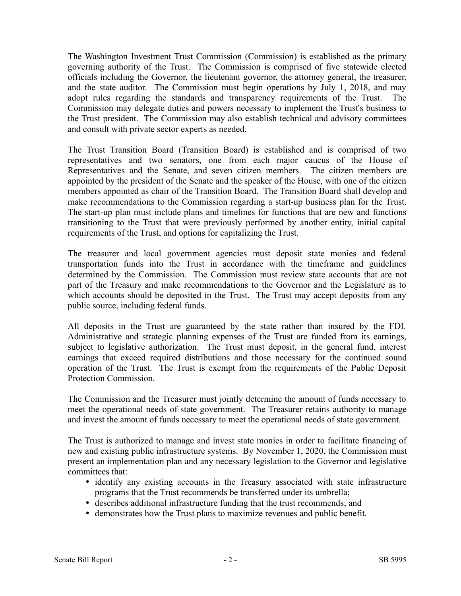The Washington Investment Trust Commission (Commission) is established as the primary governing authority of the Trust. The Commission is comprised of five statewide elected officials including the Governor, the lieutenant governor, the attorney general, the treasurer, and the state auditor. The Commission must begin operations by July 1, 2018, and may adopt rules regarding the standards and transparency requirements of the Trust. The Commission may delegate duties and powers necessary to implement the Trust's business to the Trust president. The Commission may also establish technical and advisory committees and consult with private sector experts as needed.

The Trust Transition Board (Transition Board) is established and is comprised of two representatives and two senators, one from each major caucus of the House of Representatives and the Senate, and seven citizen members. The citizen members are appointed by the president of the Senate and the speaker of the House, with one of the citizen members appointed as chair of the Transition Board. The Transition Board shall develop and make recommendations to the Commission regarding a start-up business plan for the Trust. The start-up plan must include plans and timelines for functions that are new and functions transitioning to the Trust that were previously performed by another entity, initial capital requirements of the Trust, and options for capitalizing the Trust.

The treasurer and local government agencies must deposit state monies and federal transportation funds into the Trust in accordance with the timeframe and guidelines determined by the Commission. The Commission must review state accounts that are not part of the Treasury and make recommendations to the Governor and the Legislature as to which accounts should be deposited in the Trust. The Trust may accept deposits from any public source, including federal funds.

All deposits in the Trust are guaranteed by the state rather than insured by the FDI. Administrative and strategic planning expenses of the Trust are funded from its earnings, subject to legislative authorization. The Trust must deposit, in the general fund, interest earnings that exceed required distributions and those necessary for the continued sound operation of the Trust. The Trust is exempt from the requirements of the Public Deposit Protection Commission.

The Commission and the Treasurer must jointly determine the amount of funds necessary to meet the operational needs of state government. The Treasurer retains authority to manage and invest the amount of funds necessary to meet the operational needs of state government.

The Trust is authorized to manage and invest state monies in order to facilitate financing of new and existing public infrastructure systems. By November 1, 2020, the Commission must present an implementation plan and any necessary legislation to the Governor and legislative committees that:

- identify any existing accounts in the Treasury associated with state infrastructure programs that the Trust recommends be transferred under its umbrella;
- describes additional infrastructure funding that the trust recommends; and
- demonstrates how the Trust plans to maximize revenues and public benefit.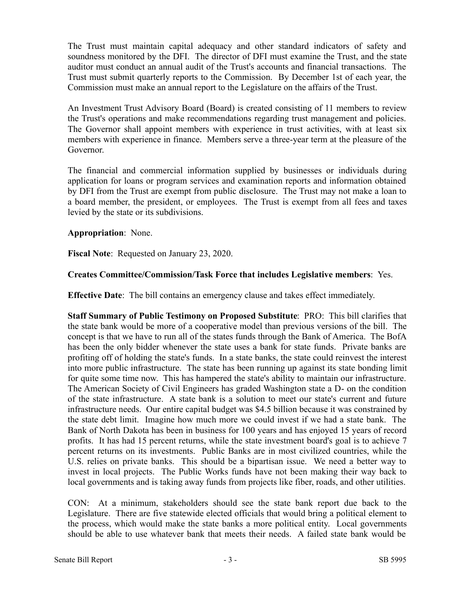The Trust must maintain capital adequacy and other standard indicators of safety and soundness monitored by the DFI. The director of DFI must examine the Trust, and the state auditor must conduct an annual audit of the Trust's accounts and financial transactions. The Trust must submit quarterly reports to the Commission. By December 1st of each year, the Commission must make an annual report to the Legislature on the affairs of the Trust.

An Investment Trust Advisory Board (Board) is created consisting of 11 members to review the Trust's operations and make recommendations regarding trust management and policies. The Governor shall appoint members with experience in trust activities, with at least six members with experience in finance. Members serve a three-year term at the pleasure of the Governor.

The financial and commercial information supplied by businesses or individuals during application for loans or program services and examination reports and information obtained by DFI from the Trust are exempt from public disclosure. The Trust may not make a loan to a board member, the president, or employees. The Trust is exempt from all fees and taxes levied by the state or its subdivisions.

# **Appropriation**: None.

**Fiscal Note**: Requested on January 23, 2020.

# **Creates Committee/Commission/Task Force that includes Legislative members**: Yes.

**Effective Date**: The bill contains an emergency clause and takes effect immediately.

**Staff Summary of Public Testimony on Proposed Substitute**: PRO: This bill clarifies that the state bank would be more of a cooperative model than previous versions of the bill. The concept is that we have to run all of the states funds through the Bank of America. The BofA has been the only bidder whenever the state uses a bank for state funds. Private banks are profiting off of holding the state's funds. In a state banks, the state could reinvest the interest into more public infrastructure. The state has been running up against its state bonding limit for quite some time now. This has hampered the state's ability to maintain our infrastructure. The American Society of Civil Engineers has graded Washington state a D- on the condition of the state infrastructure. A state bank is a solution to meet our state's current and future infrastructure needs. Our entire capital budget was \$4.5 billion because it was constrained by the state debt limit. Imagine how much more we could invest if we had a state bank. The Bank of North Dakota has been in business for 100 years and has enjoyed 15 years of record profits. It has had 15 percent returns, while the state investment board's goal is to achieve 7 percent returns on its investments. Public Banks are in most civilized countries, while the U.S. relies on private banks. This should be a bipartisan issue. We need a better way to invest in local projects. The Public Works funds have not been making their way back to local governments and is taking away funds from projects like fiber, roads, and other utilities.

CON: At a minimum, stakeholders should see the state bank report due back to the Legislature. There are five statewide elected officials that would bring a political element to the process, which would make the state banks a more political entity. Local governments should be able to use whatever bank that meets their needs. A failed state bank would be